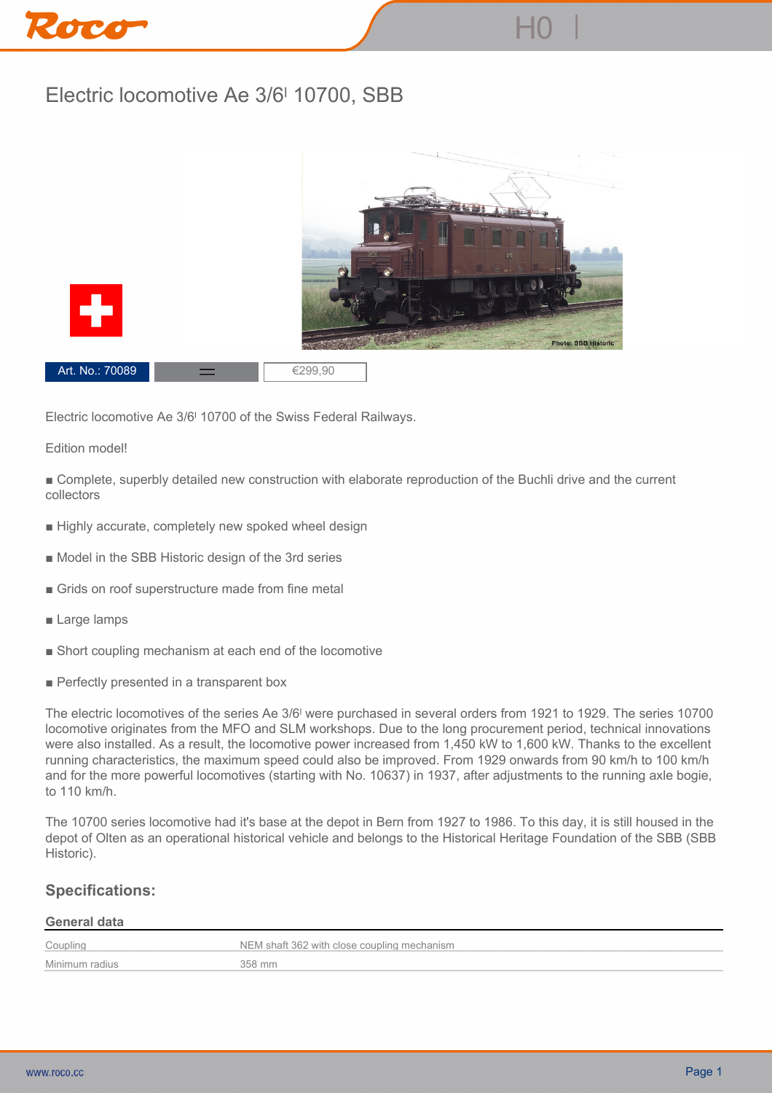# **Electric locomotive Ae 3/6ˡ 10700, SBB**



**Electric locomotive Ae 3/6ˡ 10700 of the Swiss Federal Railways.**

#### **Edition model!**

**■ Complete, superbly detailed new construction with elaborate reproduction of the Buchli drive and the current collectors**

- **Highly accurate, completely new spoked wheel design**
- **Model in the SBB Historic design of the 3rd series**
- **Grids on roof superstructure made from fine metal**
- **Large lamps**
- **Short coupling mechanism at each end of the locomotive**
- **Perfectly presented in a transparent box**

**The electric locomotives of the series Ae 3/6ˡ were purchased in several orders from 1921 to 1929. The series 10700 locomotive originates from the MFO and SLM workshops. Due to the long procurement period, technical innovations were also installed. As a result, the locomotive power increased from 1,450 kW to 1,600 kW. Thanks to the excellent running characteristics, the maximum speed could also be improved. From 1929 onwards from 90 km/h to 100 km/h and for the more powerful locomotives (starting with No. 10637) in 1937, after adjustments to the running axle bogie, to 110 km/h.**

**The 10700 series locomotive had it's base at the depot in Bern from 1927 to 1986. To this day, it is still housed in the depot of Olten as an operational historical vehicle and belongs to the Historical Heritage Foundation of the SBB (SBB Historic).**

### **Specifications:**

#### **General data**

| Coupling       | NEM shaft 362 with close coupling mechanism |
|----------------|---------------------------------------------|
| Minimum radius | 358 mm                                      |